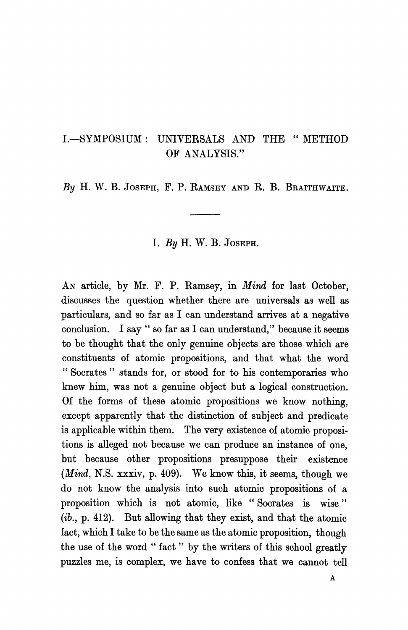## **I.-SYMPOSIUM: UNIVERSALS AND THE "METHOD OF ANALYSIS."**

**By H. W. B. JOSEPH, F. P. RAMSEY AND R. B. BRAITHWAITE.** 

## **I. By H. W. B. JOSEPH.**

**AN article, by Mr. F. P. Ramsey, in Mind for last October, discusses the question whether there are universals as well as particulars, and so far as I can understand arrives at a negative conclusion. I say " so far as I can understand," because it seems to be thought that the only genuine objects are those which are constituents of atomic propositions, and that what the word " Socrates " stands for, or stood for to his contemporaries who knew him, was not a genuine object but a logical construction. Of the forms of these atomic propositions we know nothing, except apparently that the distinction of subject and predicate is applicable within them. The very existence of atomic propositions is alleged not because we can produce an instance of one, but because other propositions presuppose their existence (Mind, N.S. xxxiv, p. 409). We know this, it seems, though we do not know the analysis into such atomic propositions of a proposition which is not atomic, like " Socrates is wise" (ib., p. 412). But allowing that they exist, and that the atomic fact, which I take to be the same as the atomic proposition, though the use of the word " fact " by the writers of this school greatly puzzles me, is complex, we have to confess that we cannot tell**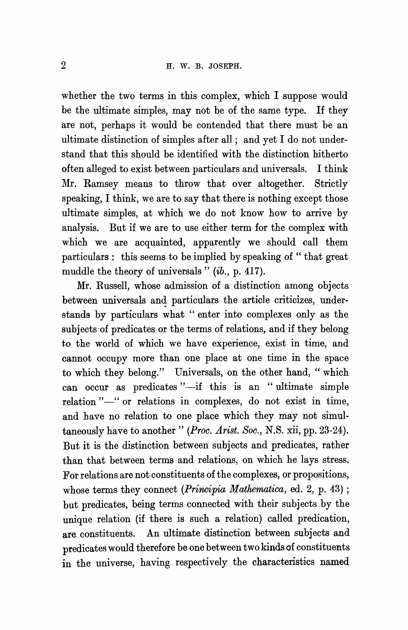**whether the two terms in this complex, which I suppose would be the ultimate simples, may not be of the same type. If they are not, perhaps it would be contended that there must be an ultimate distinction of simples after all; and yet I do not understand that this should be identified with the distinction hitherto often alleged to exist between particulars and universals. I think Mr. Ramsey means to throw that over altogether. Strictly speaking, I think, we are to say that there is nothing except those ultimate simples, at which we do not know how to arrive by analysis. But if we are to use either term for the complex with which we are acquainted, apparently we should call them particulars : this seems to be implied by speaking of " that great**  muddle the theory of universals " (ib., p. 417).

**Mr. Russell, whose admission of a distinction among objects between universals and particulars the article criticizes, understands by particulars what " enter into complexes only as the subjects-of predicates or the terms of relations, and if they belong to the world of which we have experience, exist in time, and cannot occupy more than one place at one time in the space to which they belong." Universals, on the other hand, " which**  can occur as predicates "--if this is an " ultimate simple relation "-" or relations in complexes, do not exist in time, **and have no relation to one place which they may not simultaneously have to another " (Proc. Arist. Soc., N.S. xii, pp. 23-24). But it is the distinction between subjects and predicates, rather than that between terms and relations, on which he lays stress. For relations are not constituents of the complexes, or propositions, whose terms they connect (Principia Mathematica, ed. 2, p. 43) ; but predicates, being terms connected with their subjects by the unique relation (if there is such a relation) called predication, are constituents. An ultimate distinction between subjects and predicates would therefore be one between two kinds of constituents in the universe, having respectively the characteristics named**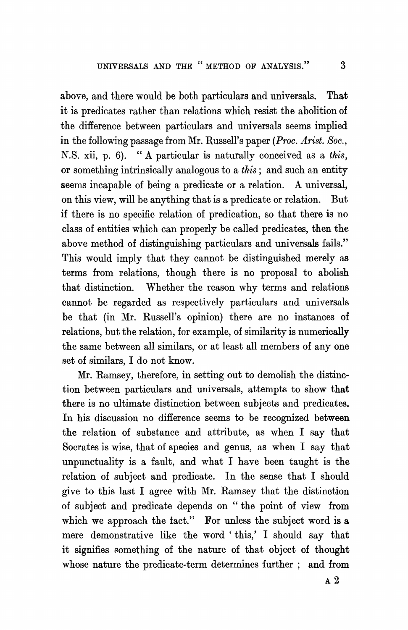**above, and there would be both particulars and universals. That it is predicates rather than relations which resist the abolition of the difference between particulars and universals seems implied in the following passage from Mr. Russell's paper (Proc. Arist. Soc., N.S. xii, p. 6). " A particular is naturally conceived as a this, or something intrinsically analogous to a this; and such an entity seems incapable of being a predicate or a relation. A universal, on this view, will be anything that is a predicate or relation. But if there is no specific relation of predication, so that there is no class of entities which can properly be called predicates, then the above method of distinguishing particulars and universals fails." This would imply that they cannot be distinguished merely as terms from relations, though there is no proposal to abolish that distinction. Whether the reason why terms and relations cannot be regarded as respectively particulars and universals be that (in Mr. Russell's opinion) there are no instances of relations, but the relation, for example, of similarity is numerically the same between all similars, or at least all members of any one set of similars, I do not know.** 

**Mr. Ramsey, therefore, in setting out to demolish the distinction between particulars and universals, attempts to show that there is no ultimate distinction between subjects and predicates. In his discussion no difference seems to be recognized between the relation of substance and attribute, as when I say that Socrates is wise, that of species and genus, as when I say that unpunctuality is a fault, and what I have been taught is the relation of subject and predicate. In the sense that I should give to this last I agree with Mr. Ramsey that the distinction of subject and predicate depends on " the point of view from which we approach the fact." For unless the subject word is a mere demonstrative like the word 'this,' I should say that it signifies something of the nature of that object of thought whose nature the predicate-term determines further ; and from**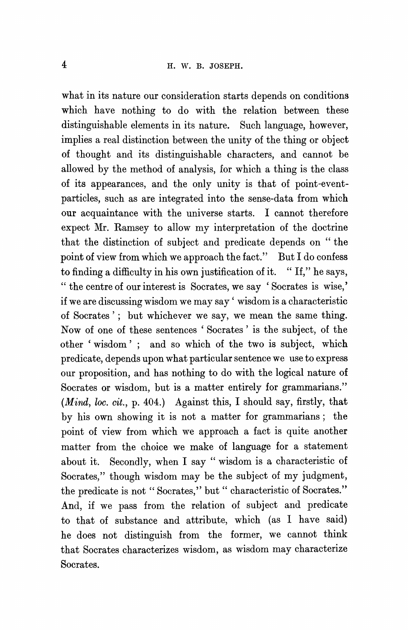**what in its nature our consideration starts depends on conditions which have nothing to do with the relation between these distinguishable elements in its nature. Such language, however, implies a real distinction between the unity of the thing or object of thought and its distinguishable characters, and cannot be allowed by the method of analysis, for which a thing is the class of its appearances, and the only unity is that of point-eventparticles, such as are integrated into the sense-data from which our acquaintance with the universe starts. I cannot therefore expect Mr. Ramsey to allow my interpretation of the doctrine that the distinction of subject and predicate depends on " the point of view from which we approach the fact." But I do confess to finding a difficulty in his own justification of it. " If," he says, " the centre of our interest is Socrates, we say ' Socrates is wise,' if we are discussing wisdom we may say' wisdom is a characteristic of Socrates'; but whichever we say, we mean the same thing. Now of one of these sentences ' Socrates' is the subject, of the other 'wisdom' ; and so which of the two is subject, which predicate, depends upon what particular sentence we use to express our proposition, and has nothing to do with the logical nature of Socrates or wisdom, but is a matter entirely for grammarians." (Mind, loc. cit., p. 404.) Against this, I should say, firstly, that by his own showing it is not a matter for grammarians; the point of view from which we approach a fact is quite another matter from the choice we make of language for a statement about it. Secondly, when I say " wisdom is a characteristic of Socrates," though wisdom may be the subject of my judgment, the predicate is not " Socrates," but " characteristic of Socrates." And, if we pass from the relation of subject and predicate to that of substance and attribute, which (as I have said) he does not distinguish from the former, we cannot think that Socrates characterizes wisdom, as wisdom may characterize Socrates.**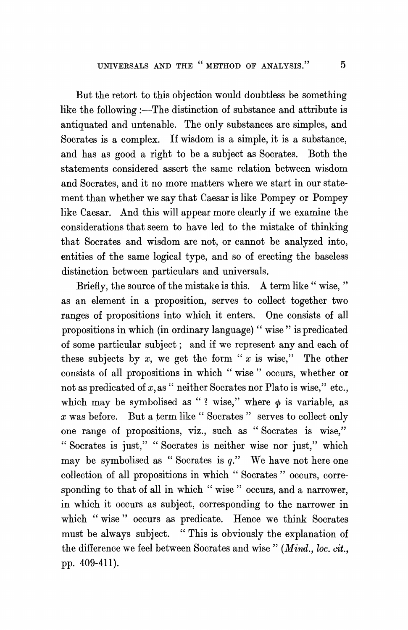**But the retort to this objection would doubtless be something**  like the following :—The distinction of substance and attribute is **antiquated and untenable. The only substances are simples, and Socrates is a complex. If wisdom is a simple, it is a substance,**  and has as good a right to be a subject as Socrates. Both the **statements considered assert the same relation between wisdom and Socrates, and it no more matters where we start in our statement than whether we say that Caesar is like Pompey or Pompey like Caesar. And this will appear more clearly if we examine the considerations that seem to have led to the mistake of thinking that Socrates and wisdom are not, or cannot be analyzed into, entities of the same logical type, and so of erecting the baseless distinction between particulars and universals.** 

**Briefly, the source of the mistake is this. A term like " wise, " as an element in a proposition, serves to collect together two ranges of propositions into which it enters. One consists of all propositions in which (in ordinary language) " wise " is predicated of some particular subject; and if we represent any and each of**  these subjects by  $x$ , we get the form " $x$  is wise," The other **consists of all propositions in which " wise " occurs, whether or not as predicated of x, as " neither Socrates nor Plato is wise," etc.,**  which may be symbolised as "? wise," where  $\phi$  is variable, as **x was before. But a term like " Socrates " serves to collect only one range of propositions, viz., such as " Socrates is wise," " Socrates is just," " Socrates is neither wise nor just," which may be symbolised as " Socrates is q." We have not here one collection of all propositions in which " Socrates " occurs, corresponding to that of all in which " wise " occurs, and a narrower, in which it occurs as subject, corresponding to the narrower in which " wise" occurs as predicate. Hence we think Socrates must be always subject. " This is obviously the explanation of the difference we feel between Socrates and wise " (Mind., loc. cit., pp. 409-411).**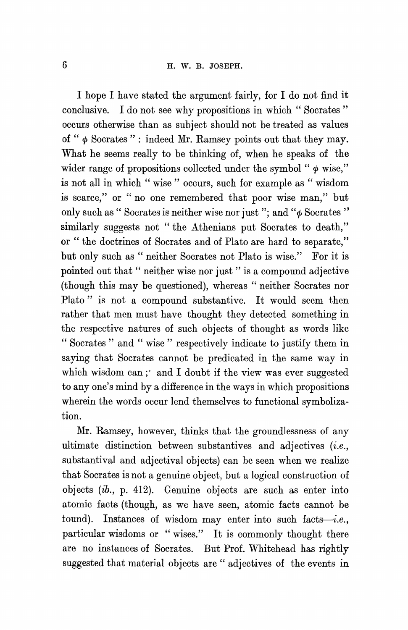**I hope I have stated the argument fairly, for I do not find it conclusive. I do not see why propositions in which " Socrates " occurs otherwise than as subject should not be treated as values of " p Socrates " : indeed Mr. Ramsey points out that they may. What he seems really to be thinking of, when he speaks of the**  wider range of propositions collected under the symbol " $\phi$  wise," **is not all in which " wise " occurs, such for example as "wisdom is scarce," or " no one remembered that poor wise man," but only such as " Socrates is neither wise nor just "; and "q Socrates " similarly suggests not " the Athenians put Socrates to death," or " the doctrines of Socrates and of Plato are hard to separate," but only such as " neither Socrates not Plato is wise." For it is pointed out that " neither wise nor just " is a compound adjective (though this may be questioned), whereas " neither Socrates nor Plato " is not a compound substantive. It would seem then rather that men must have thought they detected something in the respective natures of such objects of thought as words like " Socrates " and " wise " respectively indicate to justify them in saying that Socrates cannot be predicated in the same way in**  which wisdom can; and I doubt if the view was ever suggested **to any one's mind by a difference in the ways in which propositions wherein the words occur lend themselves to functional symbolization.** 

**Mr. Ramsey, however, thinks that the groundlessness of any ultimate distinction between substantives and adjectives (i.e., substantival and adjectival objects) can be seen when we realize that Socrates is not a genuine object, but a logical construction of objects (ib., p. 412). Genuine objects are such as enter into atomic facts (though, as we have seen, atomic facts cannot be**  found). Instances of wisdom may enter into such facts-i.e., **particular wisdoms or " wises." It is commonly thought there are no instances of Socrates. But Prof. Whitehead has rightly suggested that material objects are " adjectives of the events in**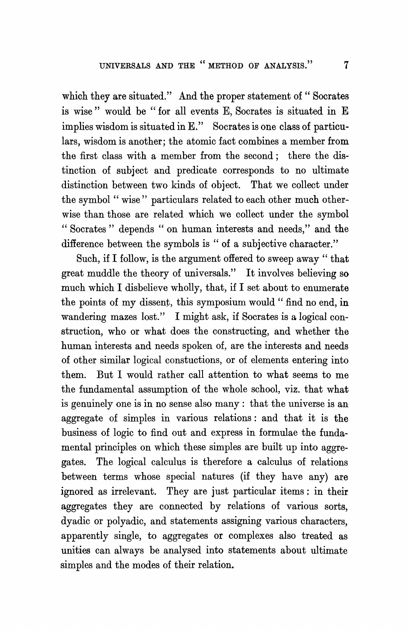**which they are situated." And the proper statement of " Socrates is wise " would be "for all events E, Socrates is situated in E implies wisdom is situated in E." Socrates is one class of particulars, wisdom is another; the atomic fact combines a member from the first class with a member from the second; there the distinction of subject and predicate corresponds to no ultimate distinction between two kinds of object. That we collect under the symbol " wise " particulars related to each other much otherwise than those are related which we collect under the symbol " Socrates " depends " on human interests and needs," and the difference between the symbols is " of a subjective character."** 

**Such, if I follow, is the argument offered to sweep away " that great muddle the theory of universals." It involves believing so much which I disbelieve wholly, that, if I set about to enumerate**  the points of my dissent, this symposium would " find no end, in **wandering mazes lost." I might ask, if Socrates is a logical construction, who or what does the constructing, and whether the human interests and needs spoken of, are the interests and needs of other similar logical constuctions, or of elements entering into them. But I would rather call attention to what seems to me the fundamental assumption of the whole school, viz. that what is genuinely one is in no sense also many: that the universe is an aggregate of simples in various relations: and that it is the business of logic to find out and express in formulae the fundamental principles on which these simples are built up into aggregates. The logical calculus is therefore a calculus of relations between terms whose special natures (if they have any) are ignored as irrelevant. They are just particular items: in their aggregates they are connected by relations of various sorts, dyadic or polyadic, and statements assigning various characters, apparently single, to aggregates or complexes also treated as unities can always be analysed into statements about ultimate simples and the modes of their relation.**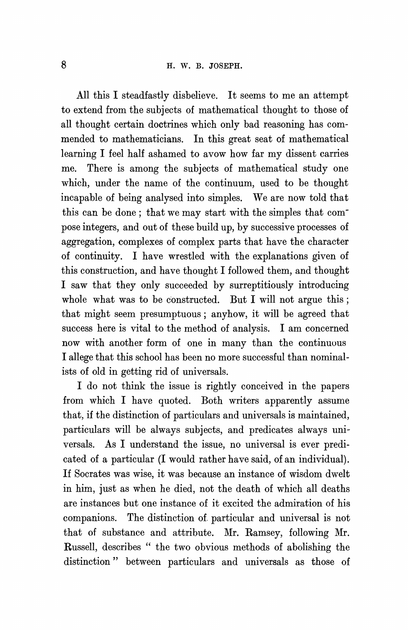**All this I steadfastly disbelieve. It seems to me an attempt to extend from the subjects of mathematical thought to those of all thought certain doctrines which only bad reasoning has commended to mathematicians. In this great seat of mathematical learning I feel half ashamed to avow how far my dissent carries me. There is among the subjects of mathematical study one which, under the name of the continuum, used to be thought incapable of being analysed into simples. We are now told that this can be done; that we may start with the simples that compose integers, and out of these build up, by successive processes of aggregation, complexes of complex parts that have the character of continuity. I have wrestled with the explanations given of this construction, and have thought I followed them, and thought I saw that they only succeeded by surreptitiously introducing whole what was to be constructed. But I will not argue this; that might seem presumptuous; anyhow, it will be agreed that success here is vital to the method of analysis. I am concerned now with another form of one in many than the continuous I allege that this school has been no more successful than nominalists of old in getting rid of universals.** 

**I do not think the issue is rightly conceived in the papers from which I have quoted. Both writers apparently assume that, if the distinction of particulars and universals is maintained, particulars will be always subjects, and predicates always universals. As I understand the issue, no universal is ever predicated of a particular (I would rather have said, of an individual). If Socrates was wise, it was because an instance of wisdom dwelt in him, just as when he died, not the death of which all deaths are instances but one instance of it excited the admiration of his companions. The distinction of. particular and universal is not that of substance and attribute. Mr. Ramsey, following Mr. Russell, describes " the two obvious methods of abolishing the distinction " between particulars and universals as those of**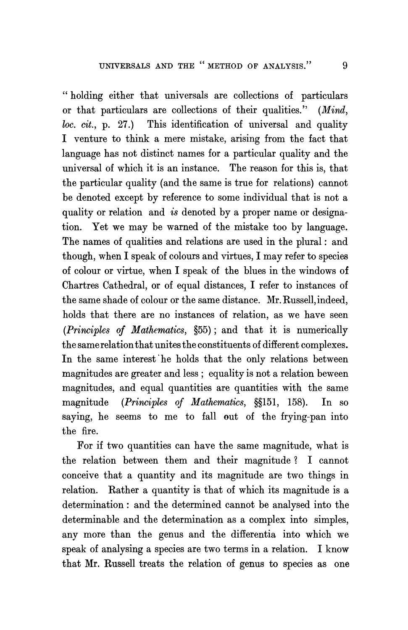**"holding either that universals are collections of particulars**  or that particulars are collections of their qualities." (Mind, loc. cit., p. 27.) This identification of universal and quality I venture to think a mere mistake, arising from the fact that **language has not distinct names for a particular quality and the universal of which it is an instance. The reason for this is, that the particular quality (and the same is true for relations) cannot be denoted except by reference to some individual that is not a**  quality or relation and is denoted by a proper name or designa**tion. Yet we may be warned of the mistake too by language. The names of qualities and relations are used in the plural: and though, when I speak of colours and virtues, Imay refer to species of colour or virtue, when I speak of the blues in the windows of Chartres Cathedral, or of equal distances, Irefer to instances of the same shade of colour or the same distance. Mr. Russell, indeed, holds that there are no instances of relation, as we have seen**  (Principles of Mathematics, §55); and that it is numerically **thesamerelationthatunitestheconstituents of different complexes.**  In the same interest he holds that the only relations between **magnitudes are greater and less; equality is not a relation beween magnitudes, and equal quantities are quantities with the same magnitude** *(Principles of Mathematics,* §§151, 158). In so **saying, he seems to me to fall out of the frying-pan into the fire.** 

**For if two quantities can have the same magnitude, what is the relation between them and their magnitude ?I cannot conceive that a quantity and its magnitude are two things in relation. Rather a quantity is that of which its magnitude is a determination: and the determined cannot be analysed into the determinable and the determination as a complex into simples, any more than the genus and the diferentia into which we speak of analysing aspecies are two terms in a relation. I know that Mr. Russell treats the relation of genus to species as one**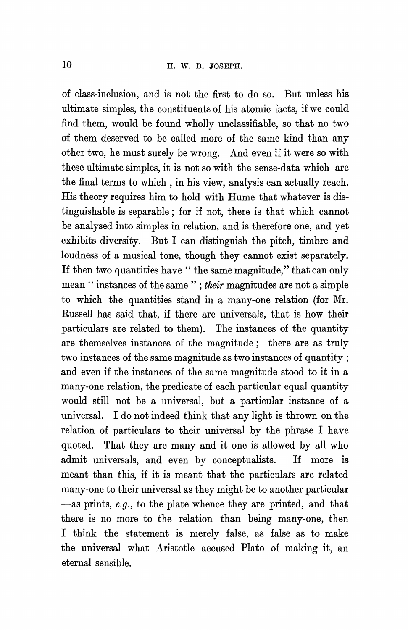**of class-inclusion, and is not the first to do so. But unless his ultimate simples, the constituents of his atomic facts, if we could find them, would be found wholly unclassifiable, so that no two of them deserved to be called more of the same kind than any other two, he must surely be wrong. And even if it were so with these ultimate simples, it is not so with the sense-data which are the final terms to which , in his view, analysis can actually reach. His theory requires him to hold with Hume that whatever is distinguishable is separable; for if not, there is that which cannot be analysed into simples in relation, and is therefore one, and yet exhibits diversity. But I can distinguish the pitch, timbre and loudness of a musical tone, though they cannot exist separately. If then two quantities have " the same magnitude," that can only mean " instances of the same" ; their magnitudes are not a simple to which the quantities stand in a many-one relation (for Mr. Russell has said that, if there are universals, that is how their particulars are related to them). The instances of the quantity are themselves instances of the magnitude; there are as truly two instances of the same magnitude as two instances of quantity ; and even if the instances of the same magnitude stood to it in a many-one relation, the predicate of each particular equal quantity would still not be a universal, but a particular instance of a universal. I do not indeed think that any light is thrown on the relation of particulars to their universal by the phrase I have quoted. That they are many and it one is allowed by all who admit universals, and even by conceptualists. If more is meant than this, if it is meant that the particulars are related many-one to their universal as they might be to another particular -as prints, e.g., to the plate whence they are printed, and that there is no more to the relation than being many-one, then I think the statement is merely false, as false as to make the universal what Aristotle accused Plato of making it, an eternal sensible.**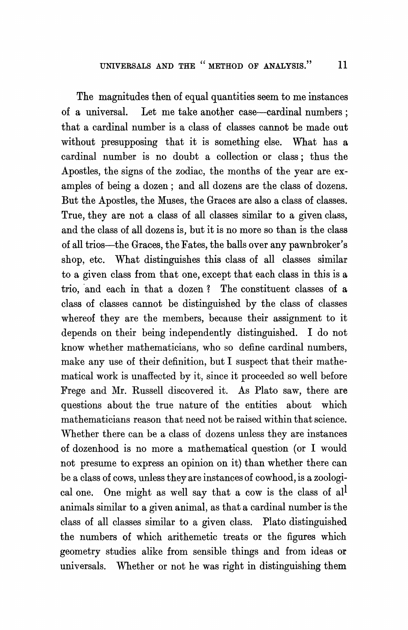**The magnitudes then of equal quantities seem to me instances of a universal. Let me take another case-cardinal numbers; that a cardinal number is a class of classes cannot be made out without presupposing that it is something else. What has a cardinal number is no doubt a collection or class; thus the Apostles, the signs of the zodiac, the months of the year are examples of being a dozen; and all dozens are the class of dozens. But the Apostles, the Muses, the Graces are also a class of classes. True, they are not a class of all classes similar to a given class, and the class of all dozens is, but it is no more so than is the class of all trios-the Graces, the Fates, the balls over any pawnbroker's shop, etc. What distinguishes this class of all classes similar to a given class from that one, except that each class in this is a trio, and each in that a dozen ? The constituent classes of a class of classes cannot be distinguished by the class of classes whereof they are the members, because their assignment to it depends on their being independently distinguished. I do not know whether mathematicians, who so define cardinal numbers, make any use of their definition, but I suspect that their mathematical work is unaffected by it, since it proceeded so well before Frege and Mr. Russell discovered it. As Plato saw, there are questions about the true nature of the entities about which mathematicians reason that need not be raised within that science. Whether there can be a class of dozens unless they are instances of dozenhood is no more a mathematical question (or I would not presume to express an opinion on it) than whether there can be a class of cows, unless they are instances of cowhood, is a zoological one. One might as well say that a cow is the class of all animals similar to a given animal, as that a cardinal number is the class of all classes similar to a given class. Plato distinguished the numbers of which arithemetic treats or the figures which geometry studies alike from sensible things and from ideas or universals. Whether or not he was right in distinguishing them**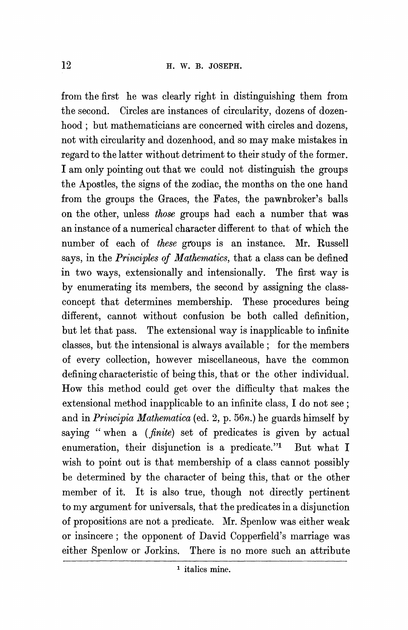**from the first he was clearly right in distinguishing them from the second. Circles are instances of circularity, dozens of dozenhood; but mathematicians are concerned with circles and dozens, not with circularity and dozenhood, and so may make mistakes in regard to the latter without detriment to their study of the former. I am only pointing out that we could not distinguish the groups the Apostles, the signs of the zodiac, the months on the one hand from the groups the Graces, the Fates, the pawnbroker's balls on the other, unless those groups had each a number that was an instance of a numerical character different to that of which the number of each of these groups is an instance. Mr. Russell says, in the Principles of Mathematics, that a class can be defined in two ways, extensionally and intensionally. The first way is by enumerating its members, the second by assigning the classconcept that determines membership. These procedures being different, cannot without confusion be both called definition, but let that pass. The extensional way is inapplicable to infinite classes, but the intensional is always available; for the members of every collection, however miscellaneous, have the common defining characteristic of being this, that or the other individual. How this method could get over the difficulty that makes the extensional method inapplicable to an infinite class, I do not see; and in Principia Mathematica (ed. 2, p. 56n.) he guards himself by saying " when a (finite) set of predicates is given by actual enumeration, their disjunction is a predicate."' But what I wish to point out is that membership of a class cannot possibly be determined by the character of being this, that or the other member of it. It is also true, though not directly pertinent to my argument for universals, that the predicates in a disjunction of propositions are not a predicate. Mr. Spenlow was either weak or insincere; the opponent of David Copperfield's marriage was either Spenlow or Jorkins. There is no more such an attribute**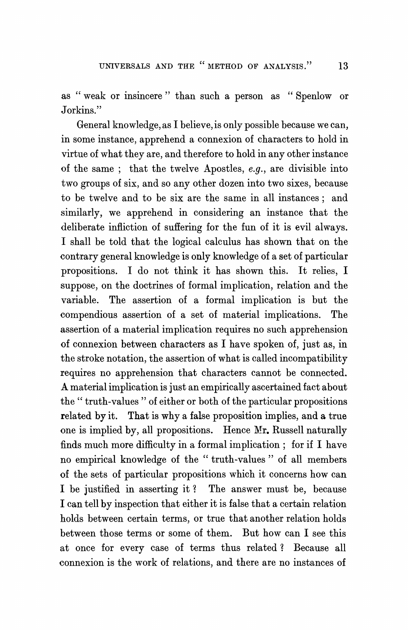**as "weak or insincere " than such a person as " Spenlow or Jorkins."** 

**General knowledge, as I believe, is only possible because we can, in some instance, apprehend a connexion of characters to hold in virtue of what they are, and therefore to hold in any other instance of the same ; that the twelve Apostles, e.g., are divisible into two groups of six, and so any other dozen into two sixes, because to be twelve and to be six are the same in all instances; and similarly, we apprehend in considering an instance that the deliberate infliction of suffering for the fun of it is evil always. I shall be told that the logical calculus has shown that on the contrary general knowledge is only knowledge of a set of particular propositions. I do not think it has shown this. It relies, I suppose, on the doctrines of formal implication, relation and the variable. The assertion of a formal implication is but the compendious assertion of a set of material implications. The assertion of a material implication requires no such apprehension of connexion between characters as I have spoken of, just as, in the stroke notation, the assertion of what is called incompatibility requires no apprehension that characters cannot be connected. A material implication is just an empirically ascertained fact about the " truth-values " of either or both of the particular propositions related by it. That is why a false proposition implies, and a true one is implied by, all propositions. Hence Mr. Russell naturally finds much more difficulty in a formal implication ; for if I have no empirical knowledge of the " truth-values " of all members of the sets of particular propositions which it concerns how can I be justified in asserting it ? The answer must be, because I can tell by inspection that either it is false that a certain relation holds between certain terms, or true that another relation holds between those terms or some of them. But how can I see this at once for every case of terms thus related ? Because all connexion is the work of relations, and there are no instances of**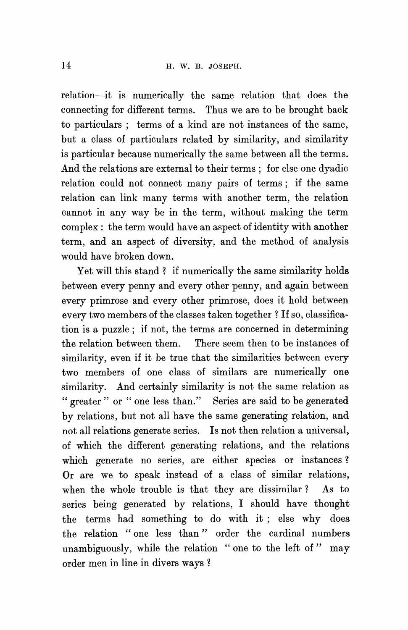**relation-it is numerically the same relation that does the connecting for different terms. Thus we are to be brought back to particulars ; terms of a kind are not instances of the same, but a class of particulars related by similarity, and similarity is particular because numerically the same between all the terms. And the relations are external to their terms ; for else one dyadic relation could not connect many pairs of terms; if the same relation can link many terms with another term, the relation cannot in any way be in the term, without making the term complex : the term would have an aspect of identity with another term, and an aspect of diversity, and the method of analysis would have broken down.** 

**Yet will this stand ? if numerically the same similarity holds between every penny and every other penny, and again between every primrose and every other primrose, does it hold between every two members of the classes taken together ? If so, classification is a puzzle; if not, the terms are concerned in determining the relation between them. There seem then to be instances of similarity, even if it be true that the similarities between every two members of one class of similars are numerically one similarity. And certainly similarity is not the same relation as " greater " or " one less than." Series are said to be generated by relations, but not all have the same generating relation, and not all relations generate series. Is not then relation a universal, of which the different generating relations, and the relations which generate no series, are either species or instances ? Or are we to speak instead of a class of similar relations, when the whole trouble is that they are dissimilar ? As to series being generated by relations, I should have thought the terms had something to do with it; else why does the relation " one less than " order the cardinal numbers unambiguously, while the relation " one to the left of" may order men in line in divers ways ?**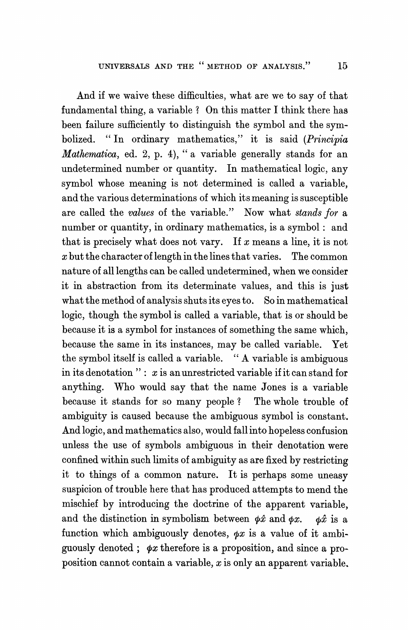**And if we waive these difficulties, what are we to say of that fundamental thing, a variable ? On this matter I think there has been failure sufficiently to distinguish the symbol and the symbolized. " In ordinary mathematics," it is said (Principia Mathematica, ed. 2, p. 4), "a variable generally stands for an undetermined number or quantity. In mathematical logic, any symbol whose meaning is not determined is called a variable, and the various determinations of which its meaning is susceptible are called the values of the variable." Now what stands for a number or quantity, in ordinary mathematics, is a symbol : and**  that is precisely what does not vary. If  $x$  means a line, it is not **x but the character of length in the lines that varies. The common nature of all lengths can be called undetermined, when we consider it in abstraction from its determinate values, and this is just what the method of analysis shuts its eyes to. So in mathematical logic, though the symbol is called a variable, that is or should be because it is a symbol for instances of something the same which, because the same in its instances, may be called variable. Yet the symbol itself is called a variable. " A variable is ambiguous in its denotation " : x is an unrestricted variable if it can stand for anything. Who would say that the name Jones is a variable because it stands for so many people ? The whole trouble of ambiguity is caused because the ambiguous symbol is constant. And logic, and mathematics also, would fall into hopeless confusion unless the use of symbols ambiguous in their denotation were confined within such limits of ambiguity as are fixed by restricting it to things of a common nature. It is perhaps some uneasy suspicion of trouble here that has produced attempts to mend the mischief by introducing the doctrine of the apparent variable,**  and the distinction in symbolism between  $\phi \hat{x}$  and  $\phi x$ .  $\phi \hat{x}$  is a function which ambiguously denotes,  $\phi x$  is a value of it ambiguously denoted;  $\phi x$  therefore is a proposition, and since a pro**position cannot contain a variable, x is only an apparent variable.**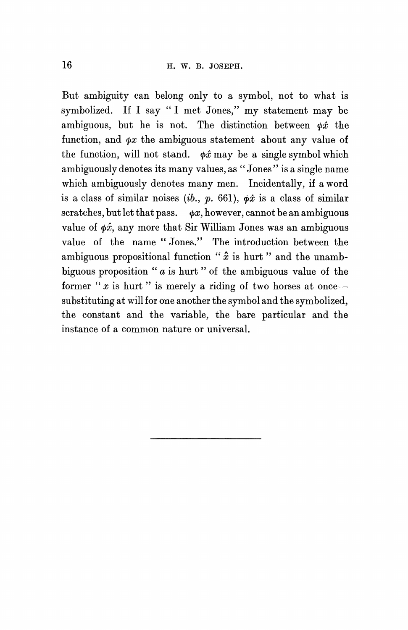**But ambiguity can belong only to a symbol, not to what is symbolized. If I say "I met Jones," my statement may be**  ambiguous, but he is not. The distinction between  $\phi \hat{x}$  the function, and  $\phi x$  the ambiguous statement about any value of the function, will not stand.  $\phi \hat{x}$  may be a single symbol which **ambiguously denotes its many values, as " Jones" is a single name which ambiguously denotes many men. Incidentally, if a word**  is a class of similar noises  $(ib, p. 661)$ ,  $\phi \hat{x}$  is a class of similar  $scratches, but let that pass. \quad \phi x, however, cannot be an ambiguous$ value of  $\phi \hat{x}$ , any more that Sir William Jones was an ambiguous **value of the name " Jones." The introduction between the**  ambiguous propositional function " $\hat{x}$  is hurt" and the unamb**biguous proposition " a is hurt " of the ambiguous value of the**  former "*x* is hurt" is merely a riding of two horses at once**substituting at will for one another the symbol and the symbolized, the constant and the variable, the bare particular and the instance of a common nature or universal.**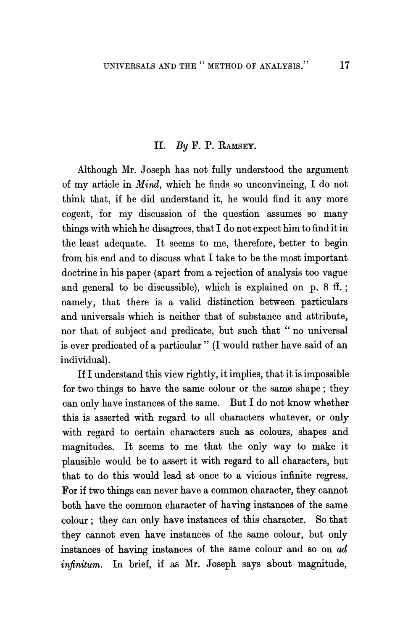## **II. By F. P. RAMSEY.**

**Although Mr. Joseph has not fully understood the argument of my article in Mind, which he finds so unconvincing, I do not think that, if he did understand it, he would find it any more cogent, for my discussion of the question assumes so many things with which he disagrees, that I do not expect him to find it in**  the least adequate. It seems to me, therefore, better to begin **from his end and to discuss what I take to be the most important doctrine in his paper (apart from a rejection of analysis too vague and general to be discussible), which is explained on p. 8 ff.; namely, that there is a valid distinction between particulars and universals which is neither that of substance and attribute, nor that of subject and predicate, but such that " no universal is ever predicated of a particular " (I would rather have said of an individual).** 

**If I understand this view rightly, it implies, that it is impossible for two things to have the same colour or the same shape; they can only have instances of the same. But I do not know whether this is asserted with regard to all characters whatever, or only with regard to certain characters such as colours, shapes and magnitudes. It seems to me that the only way to make it plausible would be to assert it with regard to all characters, but that to do this would lead at once to a vicious infinite regress. For if two things can never have a common character, they cannot both have the common character of having instances of the same colour; they can only have instances of this character. So that they cannot even have instances of the same colour, but only instances of having instances of the same colour and so on ad infinitum. In brief, if as Mr. Joseph says about magnitude,**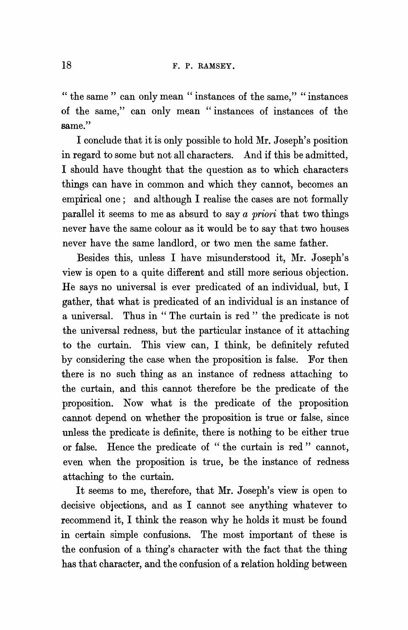**" the same " can only mean " instances of the same," " instances of the same," can only mean "instances of instances of the same."** 

**I conclude that it is only possible to hold Mr. Joseph's position in regard to some but not all characters. And if this be admitted, I should have thought that the question as to which characters things can have in common and which they cannot, becomes an empirical one; and although I realise the cases are not formally parallel it seems to me as absurd to say a priori that two things never have the same colour as it would be to say that two houses never have the same landlord, or two men the same father.** 

**Besides this, unless I have misunderstood it, Mr. Joseph's view is open to a quite different and still more serious objection. He says no universal is ever predicated of an individual, but, I gather, that what is predicated of an individual is an instance of a universal. Thus in " The curtain is red " the predicate is not the universal redness, but the particular instance of it attaching to the curtain. This view can, I think, be definitely refuted by considering the case when the proposition is false. For then there is no such thing as an instance of redness attaching to the curtain, and this cannot therefore be the predicate of the proposition. Now what is the predicate of the proposition cannot depend on whether the proposition is true or false, since unless the predicate is definite, there is nothing to be either true or false. Hence the predicate of " the curtain is red " cannot, even when the proposition is true, be the instance of redness attaching to the curtain.** 

**It seems to me, therefore, that Mr. Joseph's view is open to decisive objections, and as I cannot see anything whatever to recommend it, I think the reason why he holds it must be found in certain simple confusions. The most important of these is the confusion of a thing's character with the fact that the thing has that character, and the confusion of a relation holding between**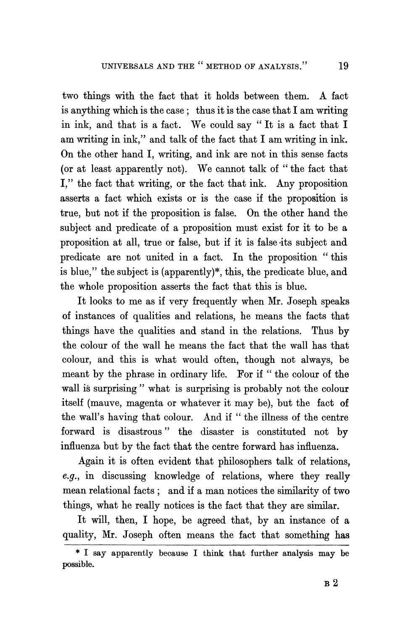**two things with the fact that it holds between them. A fact is anything which is the case ; thus it is the case that I am writing in ink, and that is a fact. We could say " It is a fact that I am writing in ink," and talk of the fact that I am writing in ink. On the other hand I, writing, and ink are not in this sense facts (or at least apparently not). We cannot talk of "the fact that I," the fact that writing, or the fact that ink. Any proposition asserts a fact which exists or is the case if the proposition is true, but not if the proposition is false. On the other hand the subject and predicate of a proposition must exist for it to be a proposition at all, true or false, but if it is false its subject and predicate are not united in a fact. In the proposition "this is blue," the subject is (apparently)\*, this, the predicate blue, and the whole proposition asserts the fact that this is blue.** 

**It looks to me as if very frequently when Mr. Joseph speaks of instances of qualities and relations, he means the facts that things have the qualities and stand in the relations. Thus by the colour of the wall he means the fact that the wall has that colour, and this is what would often, though not always, be meant by the phrase in ordinary life. For if " the colour of the wall is surprising " what is surprising is probably not the colour itself (mauve, magenta or whatever it may be), but the fact of the wall's having that colour. And if " the illness of the centre forward is disastrous" the disaster is constituted not by influenza but by the fact that the centre forward has influenza.** 

**Again it is often evident that philosophers talk of relations, e.g., in discussing knowledge of relations, where they really mean relational facts; and if a man notices the similarity of two things, what he really notices is the fact that they are similar.** 

**It will, then, I hope, be agreed that, by an instance of a quality, Mr. Joseph often means the fact that something has** 

**<sup>\*</sup> I say apparently because I think that further analysis may be possible.**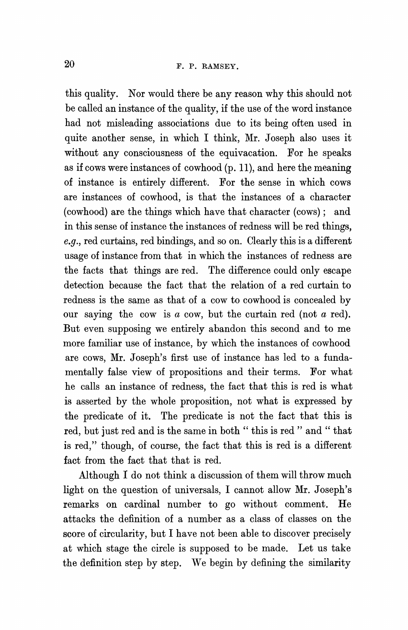**this quality. Nor would there be any reason why this should not be called an instance of the quality, if the use of the word instance had not misleading associations due to its being often used in quite another sense, in which I think, Mr. Joseph also uses it without any consciousness of the equivacation. For he speaks as if cows were instances of cowhood (p. 11), and here the meaning of instance is entirely different. For the sense in which cows are instances of cowhood, is that the instances of a character (cowhood) are the things which have that character (cows) ; and in this sense of instance the instances of redness will be red things, e.g., red curtains, red bindings, and so on. Clearly this is a different usage of instance from that in which the instances of redness are the facts that things are red. The difference could only escape detection because the fact that the relation of a red curtain to redness is the same as that of a cow to cowhood is concealed by our saying the cow is a cow, but the curtain red (not a red). But even supposing we entirely abandon this second and to me more familiar use of instance, by which the instances of cowhood are cows, Mr. Joseph's first use of instance has led to a fundamentally false view of propositions and their terms. For what he calls an instance of redness, the fact that this is red is what is asserted by the whole proposition, not what is expressed by the predicate of it. The predicate is not the fact that this is red, but just red and is the same in both " this is red " and " that is red," though, of course, the fact that this is red is a different fact from the fact that that is red.** 

**Although I do not think a discussion of them will throw much light on the question of universals, I cannot allow Mr. Joseph's remarks on cardinal number to go without comment. He attacks the definition of a number as a class of classes on the score of circularity, but I have not been able to discover precisely at which stage the circle is supposed to be made. Let us take the definition step by step. We begin by defining the similarity**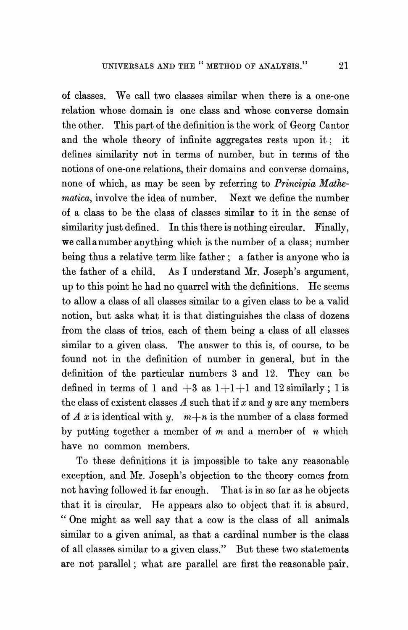**of classes. We call two classes similar when there is a one-one relation whose domain is one class and whose converse domain the other. This part of the definition is the work of Georg Cantor and the whole theory of infinite aggregates rests upon it; it defines similarity not in terms of number, but in terms of the notions of one-one relations, their domains and converse domains, none of which, as may be seen by referring to Principia Mathematica, involve the idea of number. Next we define the number of a class to be the class of classes similar to it in the sense of similarity just defined. In this there is nothing circular. Finally, we callanumber anything which is the number of a class; number being thus a relative term like father; a father is anyone who is the father of a child. As I understand Mr. Joseph's argument, up to this point he had no quarrel with the definitions. He seems to allow a class of all classes similar to a given class to be a valid notion, but asks what it is that distinguishes the class of dozens from the class of trios, each of them being a class of all classes similar to a given class. The answer to this is, of course, to be found not in the definition of number in general, but in the definition of the particular numbers 3 and 12. They can be**  defined in terms of 1 and  $+3$  as  $1+1+1$  and 12 similarly; 1 is the class of existent classes  $A$  such that if  $x$  and  $y$  are any members of A x is identical with  $y$ .  $m+n$  is the number of a class formed **by putting together a member of m and a member of n which have no common members.** 

**To these definitions it is impossible to take any reasonable exception, and Mr. Joseph's objection to the theory comes from not having followed it far enough. That is in so far as he objects that it is circular. He appears also to object that it is absurd. " One might as well say that a cow is the class of all animals similar to a given animal, as that a cardinal number is the class of all classes similar to a given class." But these two statements are not parallel; what are parallel are first the reasonable pair.**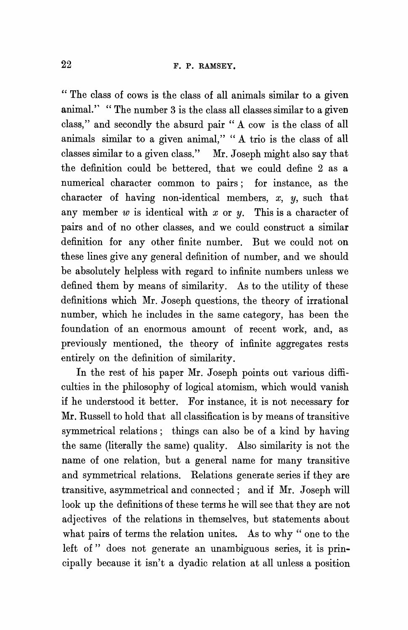**" The class of cows is the class of all animals similar to a given animal." " The number 3 is the class all classes similar to a given class," and secondly the absurd pair "A cow is the class of all animals similar to a given animal," "A trio is the class of all classes similar to a given class." Mr. Joseph might also say that the definition could be bettered, that we could define 2 as a numerical character common to pairs; for instance, as the character of having non-identical members, x, y, such that any member w is identical with x or y. This is a character of pairs and of no other classes, and we could construct a similar definition for any other finite number. But we could not on these lines give any general definition of number, and we should be absolutely helpless with regard to infinite numbers unless we defined them by means of similarity. As to the utility of these definitions which Mr. Joseph questions, the theory of irrational number, which he includes in the same category, has been the foundation of an enormous amount of recent work, and, as previously mentioned, the theory of infinite aggregates rests entirely on the definition of similarity.** 

**In the rest of his paper Mr. Joseph points out various difficulties in the philosophy of logical atomism, which would vanish if he understood it better. For instance, it is not necessary for Mr. Russell to hold that all classification is by means of transitive symmetrical relations; things can also be of a kind by having the same (literally the same) quality. Also similarity is not the name of one relation, but a general name for many transitive and symmetrical relations. Relations generate series if they are transitive, asymmetrical and connected; and if Mr. Joseph will look up the definitions of these terms he will see that they are not adjectives of the relations in themselves, but statements about what pairs of terms the relation unites. As to why " one to the**  left of " does not generate an unambiguous series, it is prin**cipally because it isn't a dyadic relation at all unless a position**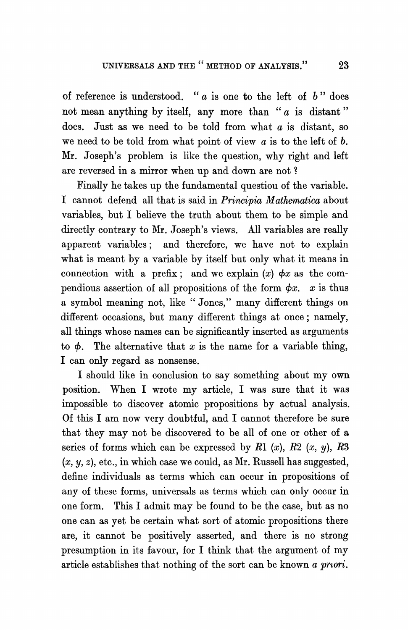**of reference is understood. " a is one to the left of b" does**  not mean anything by itself, any more than "a is distant" **does. Just as we need to be told from what a is distant, so we need to be told from what point of view a is to the left of b. Mr. Joseph's problem is like the question, why right and left are reversed in a mirror when up and down are not ?** 

**Finally he takes up the fundamental questiou of the variable. I cannot defend all that is said in Principia Mathematica about variables, but I believe the truth about them to be simple and directly contrary to Mr. Joseph's views. All variables are really apparent variables; and therefore, we have not to explain what is meant by a variable by itself but only what it means in**  connection with a prefix; and we explain  $(x)$   $\phi x$  as the compendious assertion of all propositions of the form  $\phi x$ . x is thus **a symbol meaning not, like " Jones," many different things on different occasions, but many different things at once; namely, all things whose names can be significantly inserted as arguments**  to  $\phi$ . The alternative that x is the name for a variable thing, **I can only regard as nonsense.** 

**I should like in conclusion to say something about my own position. When I wrote my article, I was sure that it was impossible to discover atomic propositions by actual analysis. Of this I am now very doubtful, and I cannot therefore be sure that they may not be discovered to be all of one or other of a**  series of forms which can be expressed by  $R1(x)$ ,  $R2(x, y)$ ,  $R3$ **(x, y, z), etc., in which case we could, as Mr. Russell has suggested, define individuals as terms which can occur in propositions of any of these forms, universals as terms which can only occur in one form. This I admit may be found to be the case, but as no one can as yet be certain what sort of atomic propositions there are, it cannot be positively asserted, and there is no strong presumption in its favour, for I think that the argument of my**  article establishes that nothing of the sort can be known a priori.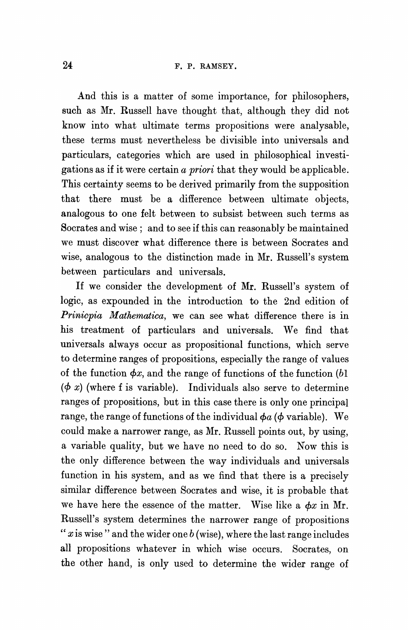**And this is a matter of some importance, for philosophers, such as Mr. Russell have thought that, although they did not know into what ultimate terms propositions were analysable, these terms must nevertheless be divisible into universals and particulars, categories which are used in philosophical investigations as if it were certain a priori that they would be applicable. This certainty seems to be derived primarily from the supposition that there must be a difference between ultimate objects, analogous to one felt between to subsist between such terms as Socrates and wise ; and to see if this can reasonably be maintained we must discover what difference there is between Socrates and wise, analogous to the distinction made in Mr. Russell's system between particulars and universals.** 

**If we consider the development of Mr. Russell's system of logic, as expounded in the introduction to the 2nd edition of Prinicpia Mathematica, we can see what difference there is in his treatment of particulars and universals. We find that universals always occur as propositional functions, which serve to determine ranges of propositions, especially the range of values**  of the function  $\phi x$ , and the range of functions of the function  $(b)$  $(\phi x)$  (where f is variable). Individuals also serve to determine **ranges of propositions, but in this case there is only one principal**  range, the range of functions of the individual  $\phi a$  ( $\phi$  variable). We **could make a narrower range, as Mr. Russell points out, by using, a variable quality, but we have no need to do so. Now this is the only difference between the way individuals and universals function in his system, and as we find that there is a precisely similar difference between Socrates and wise, it is probable that**  we have here the essence of the matter. Wise like a  $\phi x$  in Mr. **Russell's system determines the narrower range of propositions "x is wise " and the wider one b (wise), where the last range includes all propositions whatever in which wise occurs. Socrates, on the other hand, is only used to determine the wider range of**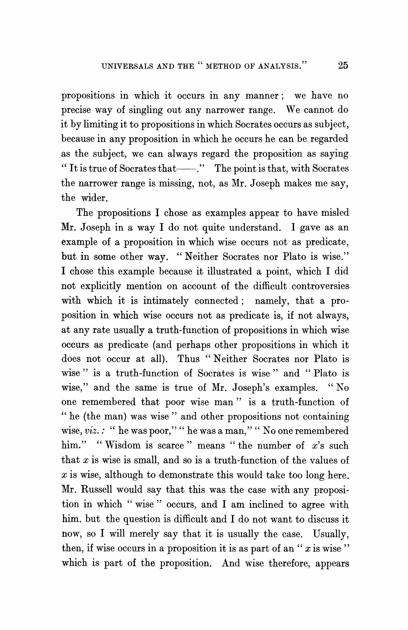**propositions in which it occurs in any manner; we have no precise way of singling out any narrower range. We cannot do it by limiting it to propositions in which Socrates occurs as subject, because in any proposition in which he occurs he can be regarded as the subject, we can always regard the proposition as saying " It is true of Socrates that- ." The point is that, with Socrates the narrower range is missing, not, as Mr. Joseph makes me say, the wider.** 

**The propositions I chose as examples appear to have misled Mr. Joseph in a way I do not quite understand. I gave as an example of a proposition in which wise occurs not as predicate, but in some other way. " Neither Socrates nor Plato is wise." I chose this example because it illustrated a point, which I did not explicitly mention on account of the difficult controversies with which it is intimately connected; namely, that a proposition in which wise occurs not as predicate is, if not always, at any rate usually a truth-function of propositions in which wise occurs as predicate (and perhaps other propositions in which it does not occur at all). Thus " Neither Socrates nor Plato is wise " is a truth-function of Socrates is wise " and " Plato is wise," and the same is true of Mr. Joseph's examples. " No one remembered that poor wise man " is a truth-function of " he (the man) was wise " and other propositions not containing wise, viz. : " he was poor," " he was a man," " No one remembered him." " Wisdom is scarce " means " the number of x's such that x is wise is small, and so is a truth-function of the values of x is wise, although to demonstrate this would take too long here. Mr. Russell would say that this was the case with any proposition in which " wise " occurs, and I am inclined to agree with him. but the question is difficult and I do not want to discuss it now, so I will merely say that it is usually the case. Usually,**  then, if wise occurs in a proposition it is as part of an " x is wise" **which is part of the proposition. And wise therefore, appears**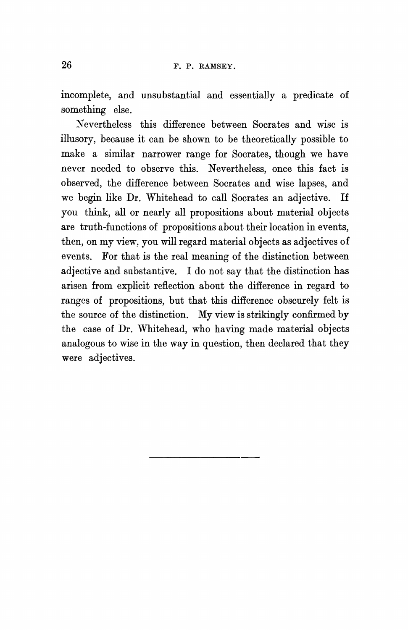**incomplete, and unsubstantial and essentially a predicate of something else.** 

**Nevertheless this difference between Socrates and wise is illusory, because it can be shown to be theoretically possible to make a similar narrower range for Socrates, though we have never needed to observe this. Nevertheless, once this fact is observed, the difference between Socrates and wise lapses, and we begin like Dr. Whitehead to call Socrates an adjective. If you think, all or nearly all propositions about material objects are truth-functions of propositions about their location in events, then, on my view, you will regard material objects as adjectives of events. For that is the real meaning of the distinction between adjective and substantive. I do not say that the distinction has arisen from explicit reflection about the difference in regard to ranges of propositions, but that this difference obscurely felt is the source of the distinction. My view is strikingly confirmed by the case of Dr. Whitehead, who having made material objects analogous to wise in the way in question, then declared that they were adjectives.**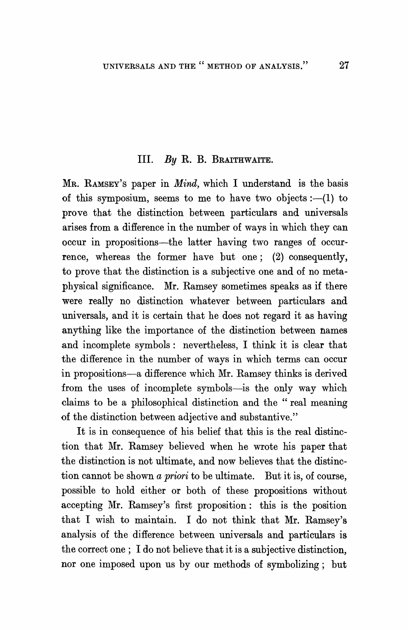## III. By R. B. BRAITHWAITE.

**MR. RAMSEY'S paper in Mind, which I understand is the basis**  of this symposium, seems to me to have two objects  $:-(1)$  to **prove that the distinction between particulars and universals arises from a difference in the number of ways in which they can occur in propositions-the latter having two ranges of occurrence, whereas the former have but one; (2) consequently, to prove that the distinction is a subjective one and of no metaphysical significance. Mr. Ramsey sometimes speaks as if there were really no distinction whatever between particulars and universals, and it is certain that he does not regard it as having anything like the importance of the distinction between names and incomplete symbols: nevertheless, I think it is clear that the difference in the number of ways in which terms can occur in propositions-a difference which Mr. Ramsey thinks is derived from the uses of incomplete symbols-is the only way which claims to be a philosophical distinction and the "real meaning of the distinction between adjective and substantive."** 

**It is in consequence of his belief that this is the real distinction that Mr. Ramsey believed when he wrote his paper that the distinction is not ultimate, and now believes that the distinction cannot be shown a priori to be ultimate. But it is, of course, possible to hold either or both of these propositions without accepting Mr. Ramsey's first proposition: this is the position that I wish to maintain. I do not think that Mr. Ramsey's analysis of the difference between universals and particulars is the correct one ; I do not believe that it is a subjective distinction, nor one imposed upon us by our methods of symbolizing; but**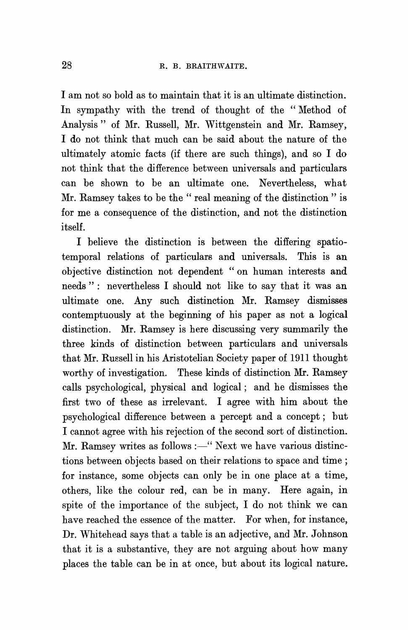**I am not so bold as to maintain that it is an ultimate distinction. In sympathy with the trend of thought of the " Method of Analysis " of Mr. Russell, Mr. Wittgenstein and Mr. Ramsey, I do not think that much can be said about the nature of the ultimately atomic facts (if there are such things), and so I do not think that the difference between universals and particulars can be shown to be an ultimate one. Nevertheless, what Mr. Ramsey takes to be the " real meaning of the distinction " is for me a consequence of the distinction, and not the distinction itself.** 

**I believe the distinction is between the differing spatiotemporal relations of particulars and universals. This is an objective distinction not dependent " on human interests and needs ": nevertheless I should not like to say that it was an ultimate one. Any such distinction Mr. Ramsey dismisses contemptuously at the beginning of his paper as not a logical distinction. Mr. Ramsey is here discussing very summarily the three kinds of distinction between particulars and universals that Mr. Russell in his Aristotelian Society paper of 1911 thought worthy of investigation. These kinds of distinction Mr. Ramsey calls psychological, physical and logical; and he dismisses the first two of these as irrelevant. I agree with him about the psychological difference between a percept and a concept; but I cannot agree with his rejection of the second sort of distinction.**  Mr. Ramsey writes as follows :- "Next we have various distinc**tions between objects based on their relations to space and time ; for instance, some objects can only be in one place at a time, others, like the colour red, can be in many. Here again, in spite of the importance of the subject, I do not think we can have reached the essence of the matter. For when, for instance, Dr. Whitehead says that a table is an adjective, and Mr. Johnson that it is a substantive, they are not arguing about how many places the table can be in at once, but about its logical nature.**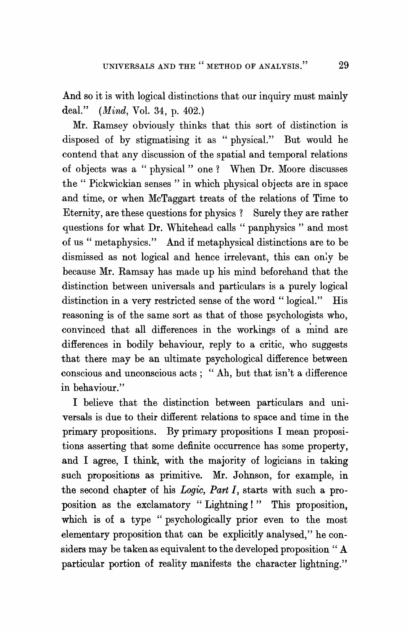**And so it is with logical distinctions that our inquiry must mainly deal." (Mind, Vol. 34, p. 402.)** 

**Mr. Ramsey obviously thinks that this sort of distinction is disposed of by stigmatising it as " physical." But would he contend that any discussion of the spatial and temporal relations of objects was a " physical " one ? When Dr. Moore discusses the " Pickwickian senses " in which physical objects are in space and time, or when McTaggart treats of the relations of Time to Eternity, are these questions for physics ? Surely they are rather questions for what Dr. Whitehead calls " panphysics " and most of us " metaphysics." And if metaphysical distinctions are to be**  dismissed as not logical and hence irrelevant, this can only be **because Mr. Ramsay has made up his mind beforehand that the distinction between universals and particulars is a purely logical distinction in a very restricted sense of the word " logical." His reasoning is of the same sort as that of those psychologists who, convinced that all differences in the workings of a mind are differences in bodily behaviour, reply to a critic, who suggests that there may be an ultimate psychological difference between conscious and unconscious acts ; " Ah, but that isn't a difference in behaviour."** 

**I believe that the distinction between particulars and universals is due to their different relations to space and time in the primary propositions. By primary propositions I mean propositions asserting that some definite occurrence has some property, and I agree, I think, with the majority of logicians in taking such propositions as primitive. Mr. Johnson, for example, in the second chapter of his Logic, Part I, starts with such a proposition as the exclamatory " Lightning! " This proposition, which is of a type " psychologically prior even to the most elementary proposition that can be explicitly analysed," he considers may be taken as equivalent to the developed proposition "A particular portion of reality manifests the character lightning."**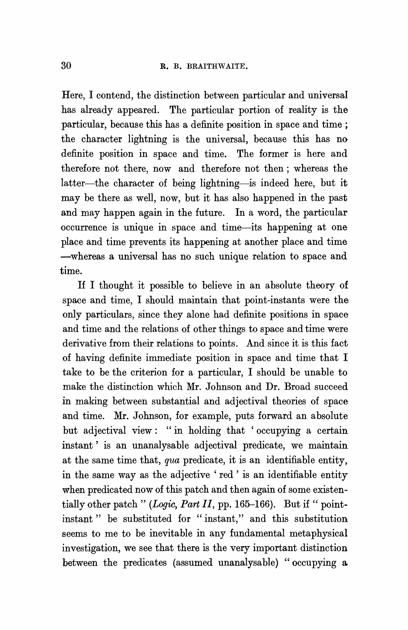**Here, I contend, the distinction between particular and universal has already appeared. The particular portion of reality is the particular, because this has a definite position in space and time ; the character lightning is the universal, because this has no definite position in space and time. The former is here and therefore not there, now and therefore not then; whereas the**  latter-the character of being lightning-is indeed here, but it **may be there as well, now, but it has also happened in the past and may happen again in the future. In a word, the particular occurrence is unique in space and time-its happening at one place and time prevents its happening at another place and time -whereas a universal has no such unique relation to space and time.** 

**If I thought it possible to believe in an absolute theory of space and time, I should maintain that point-instants were the only particulars, since they alone had definite positions in space and time and the relations of other things to space and time were derivative from their relations to points. And since it is this fact of having definite immediate position in space and time that I take to be the criterion for a particular, I should be unable to make the distinction which Mr. Johnson and Dr. Broad succeed in making between substantial and adjectival theories of space and time. Mr. Johnson, for example, puts forward an absolute but adjectival view: "in holding that 'occupying a certain instant' is an unanalysable adjectival predicate, we maintain at the same time that, qua predicate, it is an identifiable entity, in the same way as the adjective 'red' is an identifiable entity when predicated now of this patch and then again of some existentially other patch " (Logic, Part II, pp. 165-166). But if " pointinstant " be substituted for "instant," and this substitution seems to me to be inevitable in any fundamental metaphysical investigation, we see that there is the very important distinction between the predicates (assumed unanalysable) "occupying a**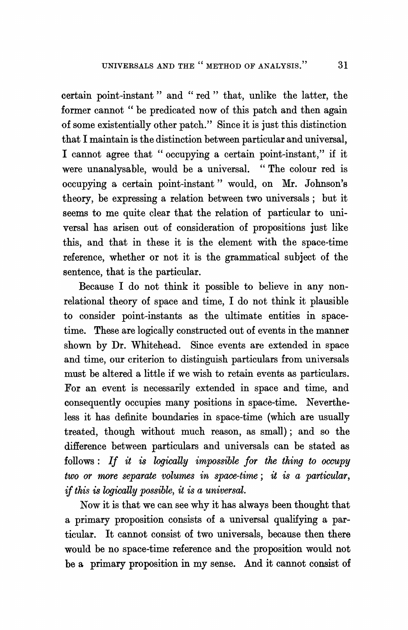**certain point-instant " and "red " that, unlike the latter, the former cannot " be predicated now of this patch and then again of some existentially other patch." Since it is just this distinction that I maintain is the distinction between particular and universal, I cannot agree that " occupying a certain point-instant," if it were unanalysable, would be a universal. " The colour red is occupying a certain point-instant " would, on Mr. Johnson's theory, be expressing a relation between two universals; but it seems to me quite clear that the relation of particular to universal has arisen out of consideration of propositions just like this, and that in these it is the element with the space-time reference, whether or not it is the grammatical subject of the sentence, that is the particular.** 

**Because I do not think it possible to believe in any nonrelational theory of space and time, I do not think it plausible to consider point-instants as the ultimate entities in spacetime. These are logically constructed out of events in the manner shown by Dr. Whitehead. Since events are extended in space and time, our criterion to distinguish particulars from universals must be altered a little if we wish to retain events as particulars. For an event is necessarily extended in space and time, and consequently occupies many positions in space-time. Nevertheless it has definite boundaries in space-time (which are usually treated, though without much reason, as small); and so the difference between particulars and universals can be stated as follows: If it is logically impossible for the thing to occupy two or more separate volumes in space-time; it is a particular, if this is logically possible, it is a universal.** 

**Now it is that we can see why it has always been thought that a primary proposition consists of a universal qualifying a particular. It cannot consist of two universals, because then there would be no space-time reference and the proposition would not be a primary proposition in my sense. And it cannot consist of**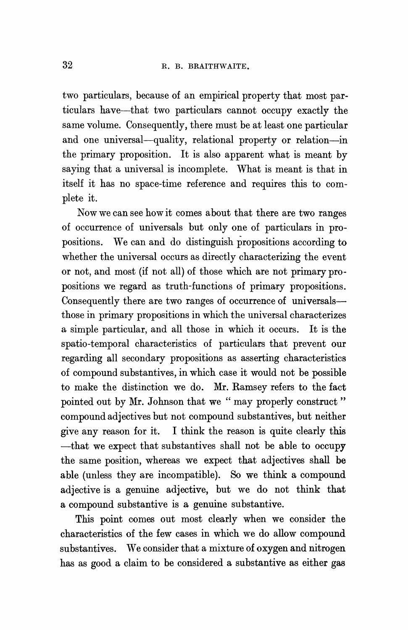**two particulars, because of an empirical property that most particulars have-that two particulars cannot occupy exactly the same volume. Consequently, there must be at least one particular and one universal-quality, relational property or relation-in the primary proposition. It is also apparent what is meant by saying that a universal is incomplete. What is meant is that in itself it has no space-time reference and requires this to complete it.** 

**Now we can see how it comes about that there are two ranges of occurrence of universals but only one of particulars in propositions. We can and do distinguish propositions according to whether the universal occurs as directly characterizing the event or not, and most (if not all) of those which are not primary propositions we regard as truth-functions of primary propositions. Consequently there are two ranges of occurrence of universalsthose in primary propositions in which the universal characterizes a simple particular, and all those in which it occurs. It is the spatio-temporal characteristics of particulars that prevent our regarding all secondary propositions as asserting characteristics of compound substantives, in which case it would not be possible to make the distinction we do. Mr. Ramsey refers to the fact pointed out by Mr. Johnson that we " may properly construct " compound adjectives but not compound substantives, but neither give any reason for it. I think the reason is quite clearly this -that we expect that substantives shall not be able to occupy the same position, whereas we expect that adjectives shall be able (unless they are incompatible). So we think a compound adjective is a genuine adjective, but we do not think that a compound substantive is a genuine substantive.** 

**This point comes out most clearly when we consider the characteristics of the few cases in which we do allow compound substantives. We consider that a mixture of oxygen and nitrogen has as good a claim to be considered a substantive as either gas**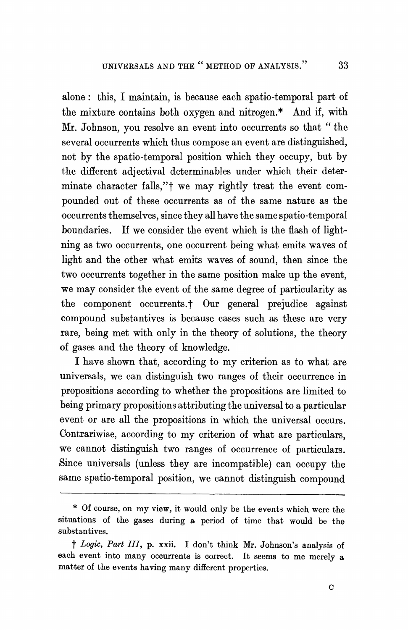**alone: this, I maintain, is because each spatio-temporal part of the mixture contains both oxygen and nitrogen.\* And if, with Mr. Johnson, you resolve an event into occurrents so that " the several occurrents which thus compose an event are distinguished, not by the spatio-temporal position which they occupy, but by the different adjectival determinables under which their determinate character falls,"t we may rightly treat the event compounded out of these occurrents as of the same nature as the occurrents themselves, since they all have the same spatio-temporal boundaries. If we consider the event which is the flash of lightning as two occurrents, one occurrent being what emits waves of light and the other what emits waves of sound, then since the two occurrents together in the same position make up the event, we may consider the event of the same degree of particularity as**  the component occurrents.<sup>†</sup> Our general prejudice against **compound substantives is because cases such as these are very rare, being met with only in the theory of solutions, the theory of gases and the theory of knowledge.** 

**I have shown that, according to my criterion as to what are universals, we can distinguish two ranges of their occurrence in propositions according to whether the propositions are limited to being primary propositions attributing the universal to a particular event or are all the propositions in which the universal occurs. Contrariwise, according to my criterion of what are particulars, we cannot distinguish two ranges of occurrence of particulars. Since universals (unless they are incompatible) can occupy the same spatio-temporal position, we cannot distinguish compound** 

**<sup>\*</sup> Of course, on my view, it would only be the events which were the situations of the gases during a period of time that would be the substantives.** 

**t Logic, Part III, p. xxii. I don't think Mr. Johnson's analysis of each event into many occurrents is correct. It seems to me merely a matter of the events having many different properties.**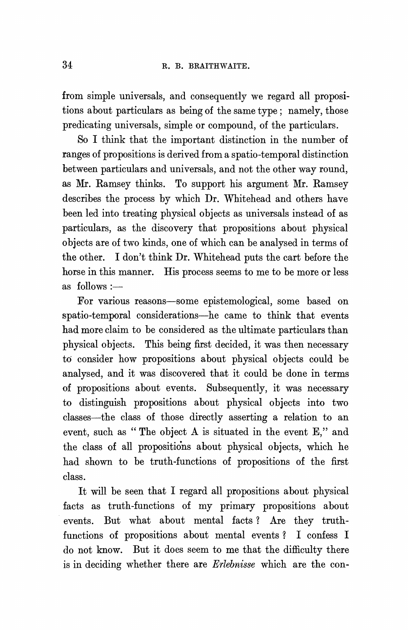**from simple universals, and consequently we regard all propositions about particulars as being of the same type; namely, those predicating universals, simple or compound, of the particulars.** 

**So I think that the important distinction in the number of ranges of propositions is derived from a spatio-temporal distinction between particulars and universals, and not the other way round, as Mr. Ramsey thinks. To support his argument Mr. Ramsey describes the process by which Dr. Whitehead and others have been led into treating physical objects as universals instead of as particulars, as the discovery that propositions about physical objects are of two kinds, one of which can be analysed in terms of the other. I don't think Dr. Whitehead puts the cart before the horse in this manner. His process seems to me to be more or less**  as follows :-

**For various reasons-some epistemological, some based on spatio-temporal considerations-he came to think that events had more claim to be considered as the ultimate particulars than physical objects. This being first decided, it was then necessary to consider how propositions about physical objects could be analysed, and it was discovered that it could be done in terms of propositions about events. Subsequently, it was necessary to distinguish propositions about physical objects into two classes-the class of those directly asserting a relation to an event, such as " The object A is situated in the event E," and the class of all propositions about physical objects, which he had shown to be truth-functions of propositions of the first class.** 

**It will be seen that I regard all propositions about physical facts as truth-functions of my primary propositions about events. But what about mental facts ? Are they truthfunctions of propositions about mental events ? I confess I do not know. But it does seem to me that the difficulty there is in deciding whether there are Erlebnisse which are the con-**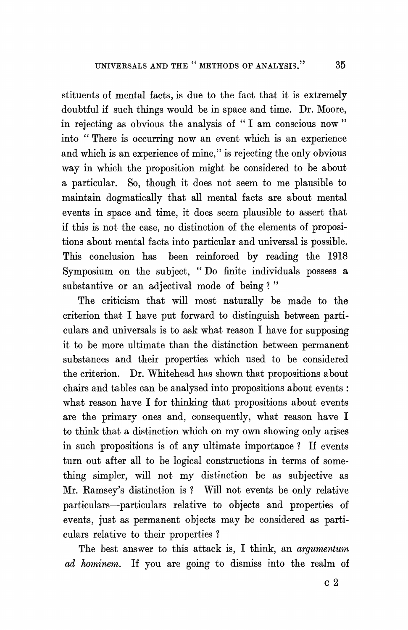**stituents of mental facts, is due to the fact that it is extremely doubtful if such things would be in space and time. Dr. Moore, in rejecting as obvious the analysis of "I am conscious now " into " There is occurring now an event which is an experience and which is an experience of mine," is rejecting the only obvious way in which the proposition might be considered to be about a particular. So, though it does not seem to me plausible to maintain dogmatically that all mental facts are about mental events in space and time, it does seem plausible to assert that if this is not the case, no distinction of the elements of propositions about mental facts into particular and universal is possible. This conclusion has been reinforced by reading the 1918 Symposium on the subject, "Do finite individuals possess a substantive or an adjectival mode of being ? "** 

**The criticism that will most naturally be made to the criterion that I have put forward to distinguish between particulars and universals is to ask what reason I have for supposing it to be more ultimate than the distinction between permanent substances and their properties which used to be considered the criterion. Dr. Whitehead has shown that propositions about chairs and tables can be analysed into propositions about events : what reason have I for thinking that propositions about events are the primary ones and, consequently, what reason have I to think that a distinction which on my own showing only arises in such propositions is of any ultimate importance ? If events turn out after all to be logical constructions in terms of something simpler, will not my distinction be as subjective as Mr. Ramsey's distinction is ? Will not events be only relative particulars-particulars relative to objects and properties of events, just as permanent objects may be considered as particulars relative to their properties ?** 

**The best answer to this attack is, I think, an argumentum ad hominem. If you are going to dismiss into the realm of**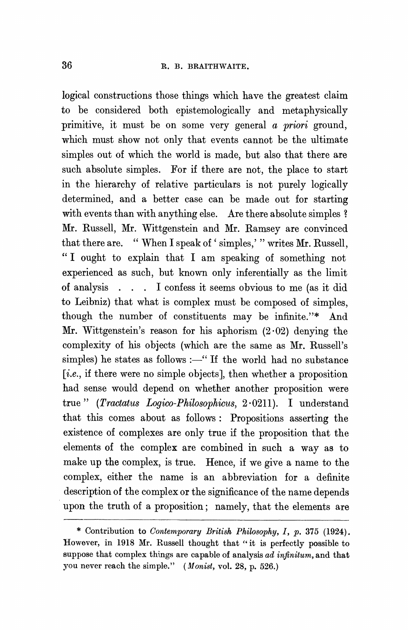**logical constructions those things which have the greatest claim to be considered both epistemologically and metaphysically primitive, it must be on some very general a priori ground, which must show not only that events cannot be the ultimate simples out of which the world is made, but also that there are such absolute simples. For if there are not, the place to start in the hierarchy of relative particulars is not purely logically determined, and a better case can be made out for starting with events than with anything else. Are there absolute simples ? Mr. Russell, Mr. Wittgenstein and Mr. Ramsey are convinced that there are. " When I speak of ' simples,' " writes Mr. Russell, "I ought to explain that I am speaking of something not experienced as such, but known only inferentially as the limit of analysis . . . I confess it seems obvious to me (as it did to Leibniz) that what is complex must be composed of simples, though the number of constituents may be infinite."\* And Mr. Wittgenstein's reason for his aphorism (2.02) denying the complexity of his objects (which are the same as Mr. Russell's**  simples) he states as follows :- "If the world had no substance **[i.e., if there were no simple objects], then whether a proposition had sense would depend on whether another proposition were true" (Tractatus Logico-Philosophicus, 2 -0211). I understand that this comes about as follows: Propositions asserting the existence of complexes are only true if the proposition that the elements of the complex are combined in such a way as to make up the complex, is true. Hence, if we give a name to the complex, either the name is an abbreviation for a definite description of the complex or the significance of the name depends upon the truth of a proposition; namely, that the elements are** 

**<sup>\*</sup> Contribution to Contemporary British Philosophy, I, p. 375 (1924). However, in 1918 Mr. Russell thought that " it is perfectly possible to suppose that complex things are capable of analysis ad infinitum, and that you never reach the simple." (Monist, vol. 28, p. 526.)**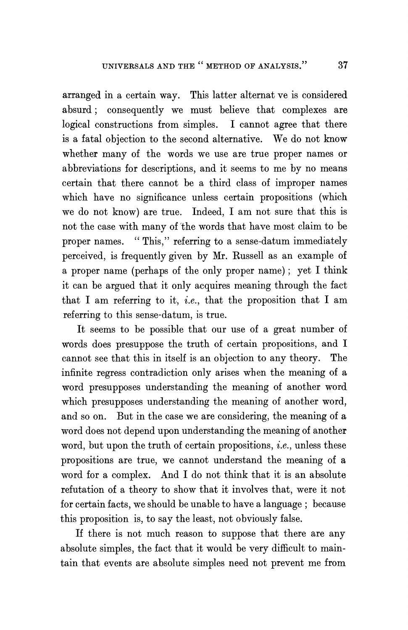**arranged in a certain way. This latter alternat ve is considered absurd; consequently we must believe that complexes are logical constructions from simples. I cannot agree that there is a fatal objection to the second alternative. We do not know whether many of the words we use are true proper names or abbreviations for descriptions, and it seems to me by no means certain that there cannot be a third class of improper names which have no significance unless certain propositions (which we do not know) are true. Indeed, I am not sure that this is not the case with many of 'the words that have most claim to be proper names. " This," referring to a sense-datum immediately perceived, is frequently given by Mr. Russell as an example of a proper name (perhaps of the only proper name); yet I think it can be argued that it only acquires meaning through the fact that I am referring to it, i.e., that the proposition that I am referring to this sense-datum, is true.** 

**It seems to be possible that our use of a great number of words does presuppose the truth of certain propositions, and I cannot see that this in itself is an objection to any theory. The infinite regress contradiction only arises when the meaning of a word presupposes understanding the meaning of another word which presupposes understanding the meaning of another word, and so on. But in the case we are considering, the meaning of a word does not depend upon understanding the meaning of another word, but upon the truth of certain propositions, i.e., unless these propositions are true, we cannot understand the meaning of a word for a complex. And I do not think that it is an absolute refutation of a theory to show that it involves that, were it not for certain facts, we should be unable to have a language ; because this proposition is, to say the least, not obviously false.** 

**If there is not much reason to suppose that there are any absolute simples, the fact that it would be very difficult to maintain that events are absolute simples need not prevent me from**